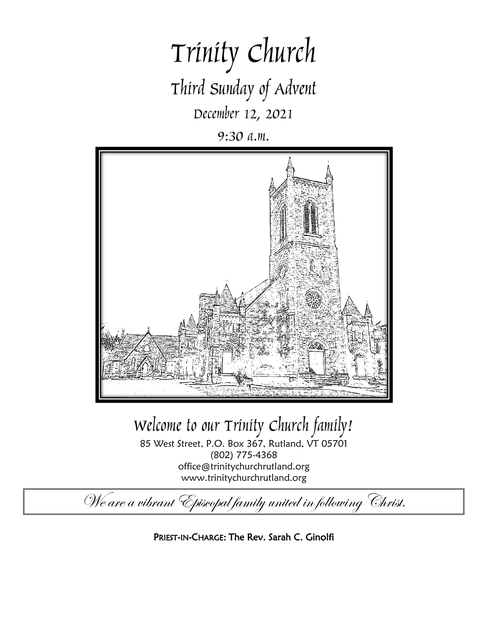

9:30 a.m.



Welcome to our Trinity Church family!



We are a vibrant Episcopal family united in following Christ.

<sup>P</sup>RIEST-IN-CHARGE: The Rev. Sarah C. Ginolfi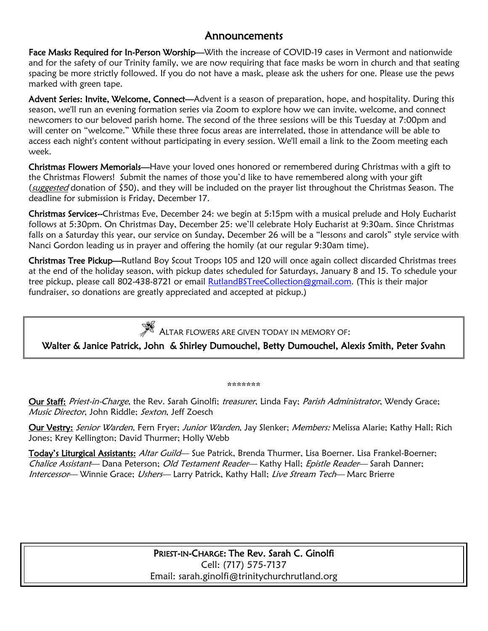# Announcements

Face Masks Required for In-Person Worship—With the increase of COVID-19 cases in Vermont and nationwide and for the safety of our Trinity family, we are now requiring that face masks be worn in church and that seating spacing be more strictly followed. If you do not have a mask, please ask the ushers for one. Please use the pews marked with green tape.

Advent Series: Invite, Welcome, Connect—Advent is a season of preparation, hope, and hospitality. During this season, we'll run an evening formation series via Zoom to explore how we can invite, welcome, and connect newcomers to our beloved parish home. The second of the three sessions will be this Tuesday at 7:00pm and will center on "welcome." While these three focus areas are interrelated, those in attendance will be able to access each night's content without participating in every session. We'll email a link to the Zoom meeting each week.

Christmas Flowers Memorials—Have your loved ones honored or remembered during Christmas with a gift to the Christmas Flowers! Submit the names of those you'd like to have remembered along with your gift (suggested donation of \$50), and they will be included on the prayer list throughout the Christmas Season. The deadline for submission is Friday, December 17.

Christmas Services--Christmas Eve, December 24: we begin at 5:15pm with a musical prelude and Holy Eucharist follows at 5:30pm. On Christmas Day, December 25: we'll celebrate Holy Eucharist at 9:30am. Since Christmas falls on a Saturday this year, our service on Sunday, December 26 will be a "lessons and carols" style service with Nanci Gordon leading us in prayer and offering the homily (at our regular 9:30am time).

Christmas Tree Pickup—Rutland Boy Scout Troops 105 and 120 will once again collect discarded Christmas trees at the end of the holiday season, with pickup dates scheduled for Saturdays, January 8 and 15. To schedule your tree pickup, please call 802-438-8721 or email [RutlandBSTreeCollection@gmail.com.](mailto:RutlandBSTreeCollection@gmail.com) (This is their major fundraiser, so donations are greatly appreciated and accepted at pickup.)

 $\mathcal{A}^{\mathcal{A}}$  Altar flowers are given today in memory of:

Walter & Janice Patrick, John & Shirley Dumouchel, Betty Dumouchel, Alexis Smith, Peter Svahn

#### \*\*\*\*\*\*\*\*\*\*\*\*\*\*

Our Staff: Priest-in-Charge, the Rev. Sarah Ginolfi; treasurer, Linda Fay; Parish Administrator, Wendy Grace; Music Director, John Riddle; Sexton, Jeff Zoesch

Our Vestry: Senior Warden, Fern Fryer; Junior Warden, Jay Slenker; Members: Melissa Alarie; Kathy Hall; Rich Jones; Krey Kellington; David Thurmer; Holly Webb

Today's Liturgical Assistants: Altar Guild-Sue Patrick, Brenda Thurmer, Lisa Boerner. Lisa Frankel-Boerner; Chalice Assistant— Dana Peterson; Old Testament Reader— Kathy Hall; Epistle Reader— Sarah Danner; Intercessor— Winnie Grace; Ushers—Larry Patrick, Kathy Hall; Live Stream Tech—Marc Brierre

> PRIEST-IN-CHARGE: The Rev. Sarah C. Ginolfi Cell: (717) 575-7137 Email: sarah.ginolfi@trinitychurchrutland.org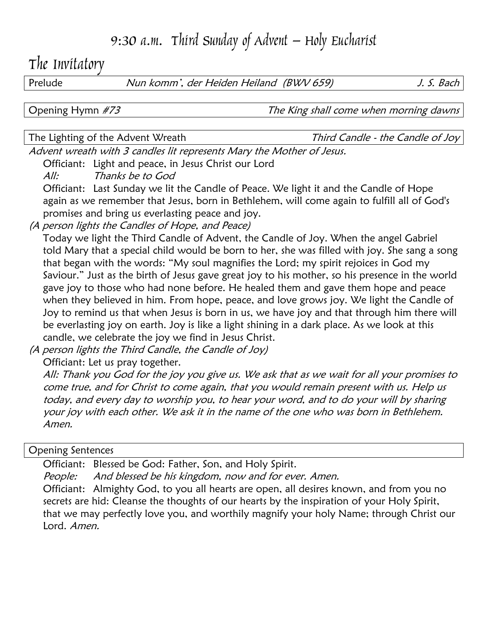# 9:30 a.m. Third Sunday of Advent – Holy Eucharist

The Invitatory

Prelude Mun komm', der Heiden Heiland (BWV 659) J. S. Bach

Opening Hymn #73 The King shall come when morning dawns

The Lighting of the Advent Wreath Third Candle - the Candle of Joy

Advent wreath with 3 candles lit represents Mary the Mother of Jesus.

Officiant: Light and peace, in Jesus Christ our Lord

All: Thanks be to God

Officiant: Last Sunday we lit the Candle of Peace. We light it and the Candle of Hope again as we remember that Jesus, born in Bethlehem, will come again to fulfill all of God's promises and bring us everlasting peace and joy.

(A person lights the Candles of Hope, and Peace)

Today we light the Third Candle of Advent, the Candle of Joy. When the angel Gabriel told Mary that a special child would be born to her, she was filled with joy. She sang a song that began with the words: "My soul magnifies the Lord; my spirit rejoices in God my Saviour." Just as the birth of Jesus gave great joy to his mother, so his presence in the world gave joy to those who had none before. He healed them and gave them hope and peace when they believed in him. From hope, peace, and love grows joy. We light the Candle of Joy to remind us that when Jesus is born in us, we have joy and that through him there will be everlasting joy on earth. Joy is like a light shining in a dark place. As we look at this candle, we celebrate the joy we find in Jesus Christ.

(A person lights the Third Candle, the Candle of Joy)

Officiant: Let us pray together.

All: Thank you God for the joy you give us. We ask that as we wait for all your promises to come true, and for Christ to come again, that you would remain present with us. Help us today, and every day to worship you, to hear your word, and to do your will by sharing your joy with each other. We ask it in the name of the one who was born in Bethlehem. Amen.

# Opening Sentences

Officiant: Blessed be God: Father, Son, and Holy Spirit. People: And blessed be his kingdom, now and for ever. Amen. Officiant: Almighty God, to you all hearts are open, all desires known, and from you no secrets are hid: Cleanse the thoughts of our hearts by the inspiration of your Holy Spirit, that we may perfectly love you, and worthily magnify your holy Name; through Christ our Lord. Amen.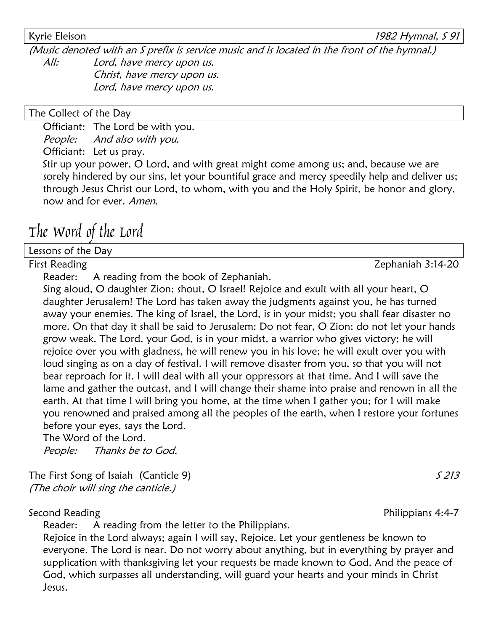#### Kyrie Eleison **1982 Hymnal, S 91**

(Music denoted with an S prefix is service music and is located in the front of the hymnal.) All: Lord, have mercy upon us. Christ, have mercy upon us. Lord, have mercy upon us.

## The Collect of the Day

Officiant: The Lord be with you. People: And also with you. Officiant: Let us pray.

Stir up your power, O Lord, and with great might come among us; and, because we are sorely hindered by our sins, let your bountiful grace and mercy speedily help and deliver us; through Jesus Christ our Lord, to whom, with you and the Holy Spirit, be honor and glory, now and for ever. Amen.

# The Word of the Lord

Lessons of the Day

Reader: A reading from the book of Zephaniah.

Sing aloud, O daughter Zion; shout, O Israel! Rejoice and exult with all your heart, O daughter Jerusalem! The Lord has taken away the judgments against you, he has turned away your enemies. The king of Israel, the Lord, is in your midst; you shall fear disaster no more. On that day it shall be said to Jerusalem: Do not fear, O Zion; do not let your hands grow weak. The Lord, your God, is in your midst, a warrior who gives victory; he will rejoice over you with gladness, he will renew you in his love; he will exult over you with loud singing as on a day of festival. I will remove disaster from you, so that you will not bear reproach for it. I will deal with all your oppressors at that time. And I will save the lame and gather the outcast, and I will change their shame into praise and renown in all the earth. At that time I will bring you home, at the time when I gather you; for I will make you renowned and praised among all the peoples of the earth, when I restore your fortunes before your eyes, says the Lord.

The Word of the Lord. People: Thanks be to God.

The First Song of Isaiah (Canticle 9) Services of the Services of the Services of Services of Services of Services of Services of Services of Services of Services of Services of Services of Services of Services of Services (The choir will sing the canticle.)

Second Reading **Philippians 4:4-7** 

Reader: A reading from the letter to the Philippians.

Rejoice in the Lord always; again I will say, Rejoice. Let your gentleness be known to everyone. The Lord is near. Do not worry about anything, but in everything by prayer and supplication with thanksgiving let your requests be made known to God. And the peace of God, which surpasses all understanding, will guard your hearts and your minds in Christ Jesus.

First Reading **Zephaniah 3:14-20**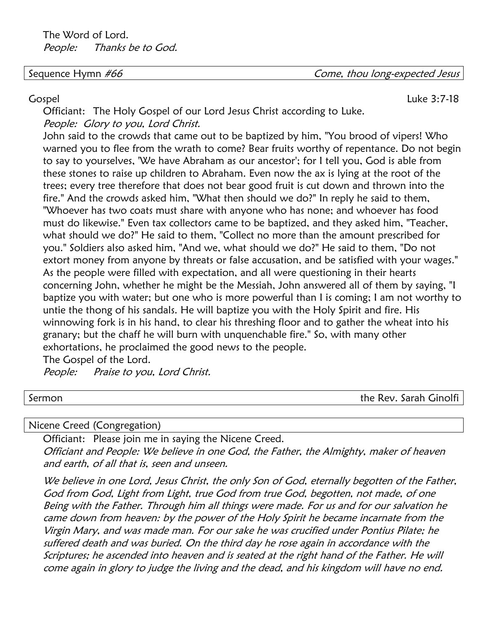The Word of Lord. People: Thanks be to God.

Sequence Hymn #66 Come, thou long-expected Jesus

Gospel Luke 3:7-18

Officiant: The Holy Gospel of our Lord Jesus Christ according to Luke. People: Glory to you, Lord Christ.

John said to the crowds that came out to be baptized by him, "You brood of vipers! Who warned you to flee from the wrath to come? Bear fruits worthy of repentance. Do not begin to say to yourselves, 'We have Abraham as our ancestor'; for I tell you, God is able from these stones to raise up children to Abraham. Even now the ax is lying at the root of the trees; every tree therefore that does not bear good fruit is cut down and thrown into the fire." And the crowds asked him, "What then should we do?" In reply he said to them, "Whoever has two coats must share with anyone who has none; and whoever has food must do likewise." Even tax collectors came to be baptized, and they asked him, "Teacher, what should we do?" He said to them, "Collect no more than the amount prescribed for you." Soldiers also asked him, "And we, what should we do?" He said to them, "Do not extort money from anyone by threats or false accusation, and be satisfied with your wages." As the people were filled with expectation, and all were questioning in their hearts concerning John, whether he might be the Messiah, John answered all of them by saying, "I baptize you with water; but one who is more powerful than I is coming; I am not worthy to untie the thong of his sandals. He will baptize you with the Holy Spirit and fire. His winnowing fork is in his hand, to clear his threshing floor and to gather the wheat into his granary; but the chaff he will burn with unquenchable fire." So, with many other exhortations, he proclaimed the good news to the people.

The Gospel of the Lord.

People: Praise to you, Lord Christ.

Sermon the Rev. Sarah Ginolfi

Nicene Creed (Congregation)

Officiant: Please join me in saying the Nicene Creed.

Officiant and People: We believe in one God, the Father, the Almighty, maker of heaven and earth, of all that is, seen and unseen.

We believe in one Lord, Jesus Christ, the only Son of God, eternally begotten of the Father, God from God, Light from Light, true God from true God, begotten, not made, of one Being with the Father. Through him all things were made. For us and for our salvation he came down from heaven: by the power of the Holy Spirit he became incarnate from the Virgin Mary, and was made man. For our sake he was crucified under Pontius Pilate; he suffered death and was buried. On the third day he rose again in accordance with the Scriptures; he ascended into heaven and is seated at the right hand of the Father. He will come again in glory to judge the living and the dead, and his kingdom will have no end.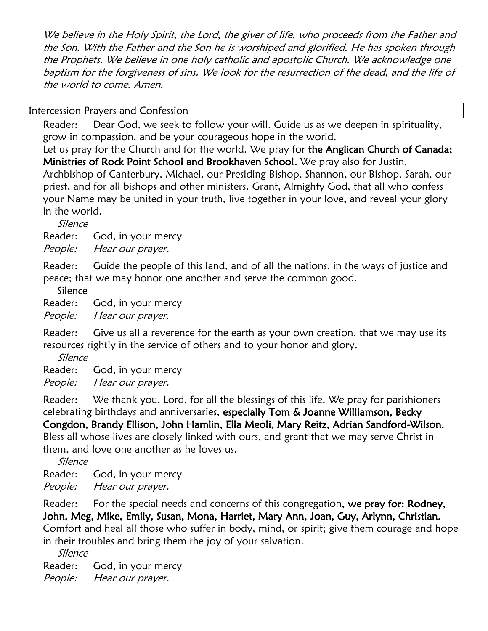We believe in the Holy Spirit, the Lord, the giver of life, who proceeds from the Father and the Son. With the Father and the Son he is worshiped and glorified. He has spoken through the Prophets. We believe in one holy catholic and apostolic Church. We acknowledge one baptism for the forgiveness of sins. We look for the resurrection of the dead, and the life of the world to come. Amen.

Intercession Prayers and Confession

Reader: Dear God, we seek to follow your will. Guide us as we deepen in spirituality, grow in compassion, and be your courageous hope in the world.

Let us pray for the Church and for the world. We pray for the Anglican Church of Canada; Ministries of Rock Point School and Brookhaven School. We pray also for Justin, Archbishop of Canterbury, Michael, our Presiding Bishop, Shannon, our Bishop, Sarah, our priest, and for all bishops and other ministers. Grant, Almighty God, that all who confess your Name may be united in your truth, live together in your love, and reveal your glory in the world.

Silence

Reader: God, in your mercy

People: Hear our prayer.

Reader: Guide the people of this land, and of all the nations, in the ways of justice and peace; that we may honor one another and serve the common good.

Silence

Reader: God, in your mercy

People: Hear our prayer.

Reader: Give us all a reverence for the earth as your own creation, that we may use its resources rightly in the service of others and to your honor and glory.

Silence

Reader: God, in your mercy

People: Hear our prayer.

Reader: We thank you, Lord, for all the blessings of this life. We pray for parishioners celebrating birthdays and anniversaries, especially Tom & Joanne Williamson, Becky Congdon, Brandy Ellison, John Hamlin, Ella Meoli, Mary Reitz, Adrian Sandford-Wilson. Bless all whose lives are closely linked with ours, and grant that we may serve Christ in them, and love one another as he loves us.

Silence

Reader: God, in your mercy

People: Hear our prayer.

Reader: For the special needs and concerns of this congregation, we pray for: Rodney, John, Meg, Mike, Emily, Susan, Mona, Harriet, Mary Ann, Joan, Guy, Arlynn, Christian. Comfort and heal all those who suffer in body, mind, or spirit; give them courage and hope in their troubles and bring them the joy of your salvation.

Silence

Reader: God, in your mercy People: Hear our prayer.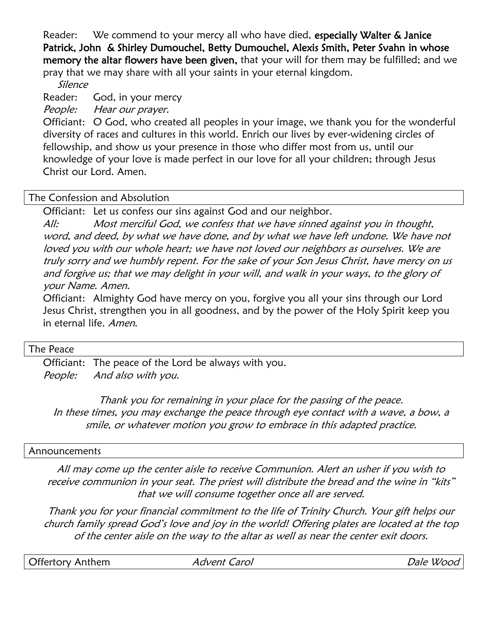Reader: We commend to your mercy all who have died, especially Walter & Janice Patrick, John & Shirley Dumouchel, Betty Dumouchel, Alexis Smith, Peter Svahn in whose memory the altar flowers have been given, that your will for them may be fulfilled; and we pray that we may share with all your saints in your eternal kingdom.

Silence

Reader: God, in your mercy

People: Hear our prayer.

Officiant: O God, who created all peoples in your image, we thank you for the wonderful diversity of races and cultures in this world. Enrich our lives by ever-widening circles of fellowship, and show us your presence in those who differ most from us, until our knowledge of your love is made perfect in our love for all your children; through Jesus Christ our Lord. Amen.

# The Confession and Absolution

Officiant: Let us confess our sins against God and our neighbor.

All: Most merciful God, we confess that we have sinned against you in thought, word, and deed, by what we have done, and by what we have left undone. We have not loved you with our whole heart; we have not loved our neighbors as ourselves. We are truly sorry and we humbly repent. For the sake of your Son Jesus Christ, have mercy on us and forgive us; that we may delight in your will, and walk in your ways, to the glory of your Name. Amen.

Officiant: Almighty God have mercy on you, forgive you all your sins through our Lord Jesus Christ, strengthen you in all goodness, and by the power of the Holy Spirit keep you in eternal life. Amen.

# The Peace

Officiant: The peace of the Lord be always with you. People: And also with you.

Thank you for remaining in your place for the passing of the peace. In these times, you may exchange the peace through eye contact with a wave, a bow, a smile, or whatever motion you grow to embrace in this adapted practice.

# Announcements

All may come up the center aisle to receive Communion. Alert an usher if you wish to receive communion in your seat. The priest will distribute the bread and the wine in "kits" that we will consume together once all are served.

Thank you for your financial commitment to the life of Trinity Church. Your gift helps our church family spread God's love and joy in the world! Offering plates are located at the top of the center aisle on the way to the altar as well as near the center exit doors.

| Offertory Anthem | Advent Carol | Dale Wood |
|------------------|--------------|-----------|
|                  |              |           |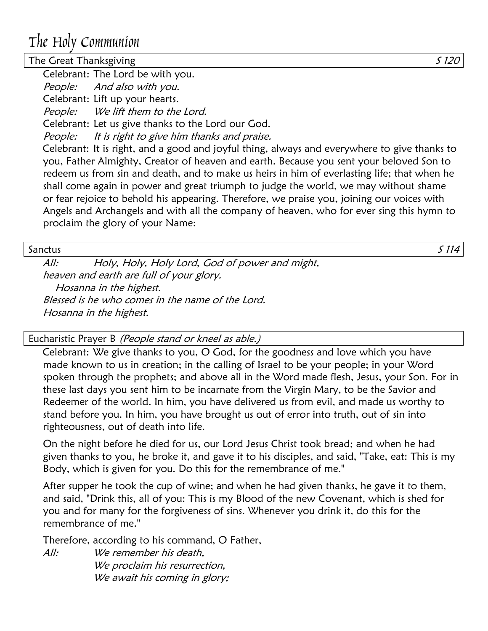# The Holy Communion

| The Great Thanksgiving | S 120 |
|------------------------|-------|
|------------------------|-------|

Celebrant: The Lord be with you. People: And also with you.

Celebrant: Lift up your hearts.

People: We lift them to the Lord.

Celebrant: Let us give thanks to the Lord our God.

People: It is right to give him thanks and praise.

Celebrant: It is right, and a good and joyful thing, always and everywhere to give thanks to you, Father Almighty, Creator of heaven and earth. Because you sent your beloved Son to redeem us from sin and death, and to make us heirs in him of everlasting life; that when he shall come again in power and great triumph to judge the world, we may without shame or fear rejoice to behold his appearing. Therefore, we praise you, joining our voices with Angels and Archangels and with all the company of heaven, who for ever sing this hymn to proclaim the glory of your Name:

Sanctus  $\sim$  Sanctus  $\sim$  SM  $\sim$  SM  $\sim$  SM  $\sim$  SM  $\sim$  SM  $\sim$  SM  $\sim$  SM  $\sim$  SM  $\sim$  SM  $\sim$  SM  $\sim$  SM  $\sim$  SM  $\sim$  SM  $\sim$  SM  $\sim$  SM  $\sim$  SM  $\sim$  SM  $\sim$  SM  $\sim$  SM  $\sim$  SM  $\sim$  SM  $\sim$  SM  $\sim$  SM  $\sim$  SM  $\sim$  SM All: Holy, Holy, Holy Lord, God of power and might, heaven and earth are full of your glory. Hosanna in the highest. Blessed is he who comes in the name of the Lord. Hosanna in the highest.

Eucharistic Prayer B (People stand or kneel as able.)

Celebrant: We give thanks to you, O God, for the goodness and love which you have made known to us in creation; in the calling of Israel to be your people; in your Word spoken through the prophets; and above all in the Word made flesh, Jesus, your Son. For in these last days you sent him to be incarnate from the Virgin Mary, to be the Savior and Redeemer of the world. In him, you have delivered us from evil, and made us worthy to stand before you. In him, you have brought us out of error into truth, out of sin into righteousness, out of death into life.

On the night before he died for us, our Lord Jesus Christ took bread; and when he had given thanks to you, he broke it, and gave it to his disciples, and said, "Take, eat: This is my Body, which is given for you. Do this for the remembrance of me."

After supper he took the cup of wine; and when he had given thanks, he gave it to them, and said, "Drink this, all of you: This is my Blood of the new Covenant, which is shed for you and for many for the forgiveness of sins. Whenever you drink it, do this for the remembrance of me."

Therefore, according to his command, O Father,

All: We remember his death, We proclaim his resurrection, We await his coming in glory;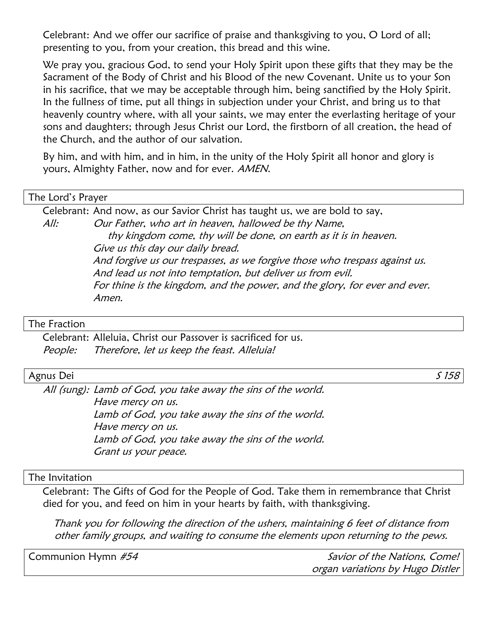Celebrant: And we offer our sacrifice of praise and thanksgiving to you, O Lord of all; presenting to you, from your creation, this bread and this wine.

We pray you, gracious God, to send your Holy Spirit upon these gifts that they may be the Sacrament of the Body of Christ and his Blood of the new Covenant. Unite us to your Son in his sacrifice, that we may be acceptable through him, being sanctified by the Holy Spirit. In the fullness of time, put all things in subjection under your Christ, and bring us to that heavenly country where, with all your saints, we may enter the everlasting heritage of your sons and daughters; through Jesus Christ our Lord, the firstborn of all creation, the head of the Church, and the author of our salvation.

By him, and with him, and in him, in the unity of the Holy Spirit all honor and glory is yours, Almighty Father, now and for ever. AMEN.

# The Lord's Prayer

Celebrant: And now, as our Savior Christ has taught us, we are bold to say, All: Our Father, who art in heaven, hallowed be thy Name, thy kingdom come, thy will be done, on earth as it is in heaven. Give us this day our daily bread. And forgive us our trespasses, as we forgive those who trespass against us. And lead us not into temptation, but deliver us from evil. For thine is the kingdom, and the power, and the glory, for ever and ever. Amen.

## The Fraction

Celebrant: Alleluia, Christ our Passover is sacrificed for us. People: Therefore, let us keep the feast. Alleluia!

#### Agnus Dei Sing and the Second Community of the Second Community of the Second Community of the Second Community of the Second Community of the Second Community of the Second Community of the Second Community of the Second

All (sung): Lamb of God, you take away the sins of the world. Have mercy on us. Lamb of God, you take away the sins of the world. Have mercy on us. Lamb of God, you take away the sins of the world. Grant us your peace.

#### The Invitation

Celebrant: The Gifts of God for the People of God. Take them in remembrance that Christ died for you, and feed on him in your hearts by faith, with thanksgiving.

Thank you for following the direction of the ushers, maintaining 6 feet of distance from other family groups, and waiting to consume the elements upon returning to the pews.

Communion Hymn #54 Savior of the Nations, Come! organ variations by Hugo Distler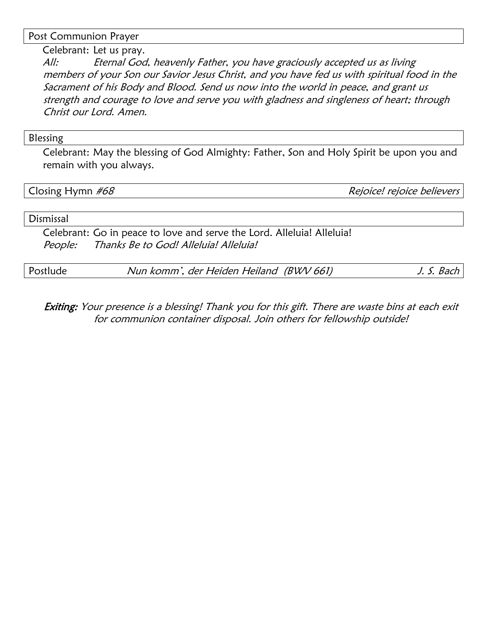### Post Communion Prayer

Celebrant: Let us pray.

All: Eternal God, heavenly Father, you have graciously accepted us as living members of your Son our Savior Jesus Christ, and you have fed us with spiritual food in the Sacrament of his Body and Blood. Send us now into the world in peace, and grant us strength and courage to love and serve you with gladness and singleness of heart; through Christ our Lord. Amen.

## Blessing

Celebrant: May the blessing of God Almighty: Father, Son and Holy Spirit be upon you and remain with you always.

Closing Hymn #68 **Rejoice!** rejoice believers

### Dismissal

Celebrant: Go in peace to love and serve the Lord. Alleluia! Alleluia! People: Thanks Be to God! Alleluia! Alleluia!

Postlude **Nun komm'**, der Heiden Heiland (BWV 661) J. S. Bach

Exiting: Your presence is a blessing! Thank you for this gift. There are waste bins at each exit for communion container disposal. Join others for fellowship outside!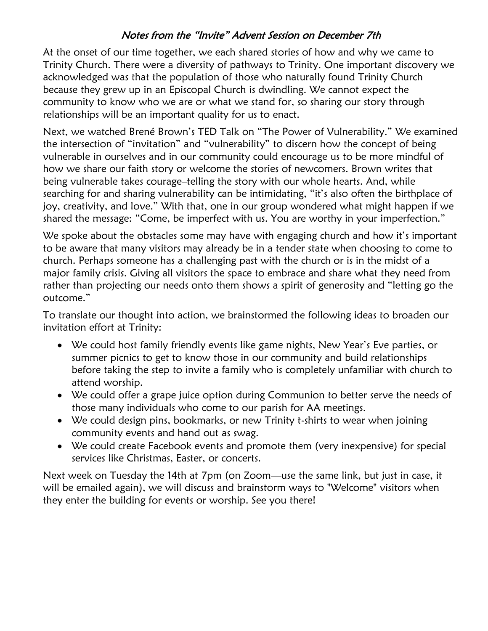# Notes from the "Invite" Advent Session on December 7th

At the onset of our time together, we each shared stories of how and why we came to Trinity Church. There were a diversity of pathways to Trinity. One important discovery we acknowledged was that the population of those who naturally found Trinity Church because they grew up in an Episcopal Church is dwindling. We cannot expect the community to know who we are or what we stand for, so sharing our story through relationships will be an important quality for us to enact.

Next, we watched Brené Brown's TED Talk on "The Power of Vulnerability." We examined the intersection of "invitation" and "vulnerability" to discern how the concept of being vulnerable in ourselves and in our community could encourage us to be more mindful of how we share our faith story or welcome the stories of newcomers. Brown writes that being vulnerable takes courage–telling the story with our whole hearts. And, while searching for and sharing vulnerability can be intimidating, "it's also often the birthplace of joy, creativity, and love." With that, one in our group wondered what might happen if we shared the message: "Come, be imperfect with us. You are worthy in your imperfection."

We spoke about the obstacles some may have with engaging church and how it's important to be aware that many visitors may already be in a tender state when choosing to come to church. Perhaps someone has a challenging past with the church or is in the midst of a major family crisis. Giving all visitors the space to embrace and share what they need from rather than projecting our needs onto them shows a spirit of generosity and "letting go the outcome."

To translate our thought into action, we brainstormed the following ideas to broaden our invitation effort at Trinity:

- We could host family friendly events like game nights, New Year's Eve parties, or summer picnics to get to know those in our community and build relationships before taking the step to invite a family who is completely unfamiliar with church to attend worship.
- We could offer a grape juice option during Communion to better serve the needs of those many individuals who come to our parish for AA meetings.
- We could design pins, bookmarks, or new Trinity t-shirts to wear when joining community events and hand out as swag.
- We could create Facebook events and promote them (very inexpensive) for special services like Christmas, Easter, or concerts.

Next week on Tuesday the 14th at 7pm (on Zoom—use the same link, but just in case, it will be emailed again), we will discuss and brainstorm ways to "Welcome" visitors when they enter the building for events or worship. See you there!